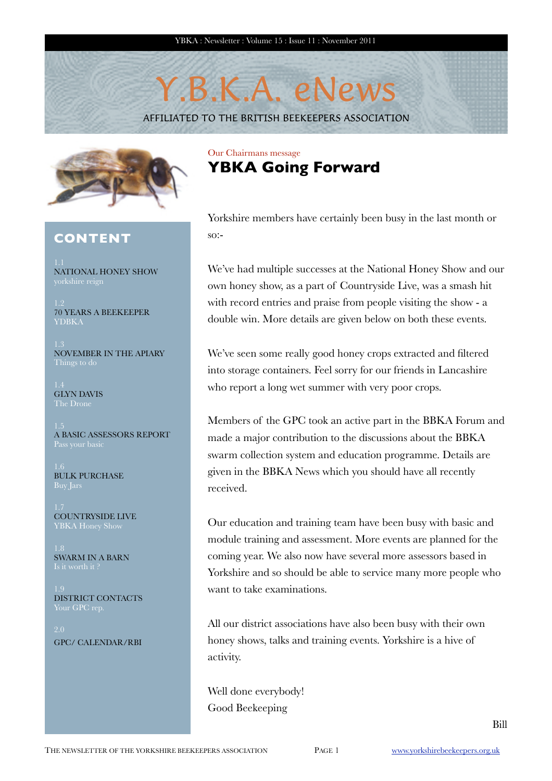# Y.B.K.A. eNews

AFFILIATED TO THE BRITISH BEEKEEPERS ASSOCIATION



### **CONTENT**

NATIONAL HONEY SHOW

70 YEARS A BEEKEEPER YDBKA

NOVEMBER IN THE APIARY

GLYN DAVIS The Drone

A BASIC ASSESSORS REPORT

BULK PURCHASE

COUNTRYSIDE LIVE

SWARM IN A BARN

DISTRICT CONTACTS

GPC/ CALENDAR/RBI

## Our Chairmans message **YBKA Going Forward**

Yorkshire members have certainly been busy in the last month or so:-

We've had multiple successes at the National Honey Show and our own honey show, as a part of Countryside Live, was a smash hit with record entries and praise from people visiting the show - a double win. More details are given below on both these events.

We've seen some really good honey crops extracted and filtered into storage containers. Feel sorry for our friends in Lancashire who report a long wet summer with very poor crops.

Members of the GPC took an active part in the BBKA Forum and made a major contribution to the discussions about the BBKA swarm collection system and education programme. Details are given in the BBKA News which you should have all recently received.

Our education and training team have been busy with basic and module training and assessment. More events are planned for the coming year. We also now have several more assessors based in Yorkshire and so should be able to service many more people who want to take examinations.

All our district associations have also been busy with their own honey shows, talks and training events. Yorkshire is a hive of activity.

Well done everybody! Good Beekeeping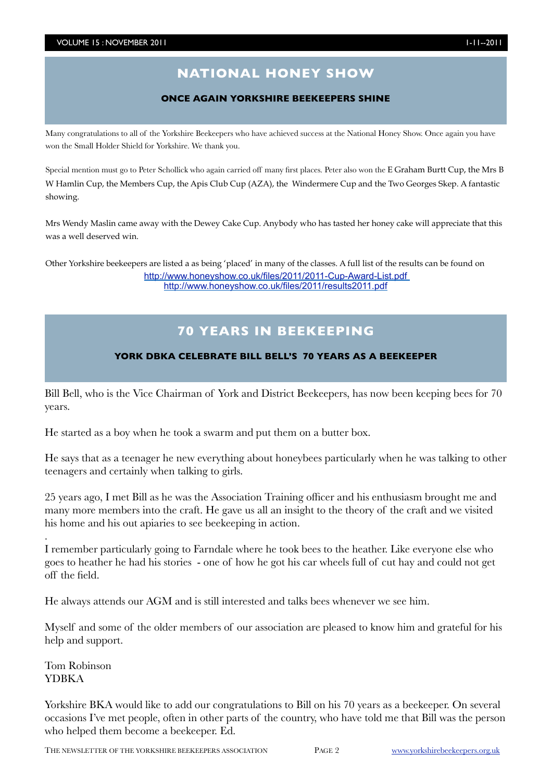# **NATIONAL HONEY SHOW**

#### **ONCE AGAIN YORKSHIRE BEEKEEPERS SHINE**

Many congratulations to all of the Yorkshire Beekeepers who have achieved success at the National Honey Show. Once again you have won the Small Holder Shield for Yorkshire. We thank you.

Special mention must go to Peter Schollick who again carried off many first places. Peter also won the E Graham Burtt Cup, the Mrs B W Hamlin Cup, the Members Cup, the Apis Club Cup (AZA), the Windermere Cup and the Two Georges Skep. A fantastic showing.

Mrs Wendy Maslin came away with the Dewey Cake Cup. Anybody who has tasted her honey cake will appreciate that this was a well deserved win.

Other Yorkshire beekeepers are listed a as being 'placed' in many of the classes. A full list of the results can be found on <http://www.honeyshow.co.uk/files/2011/2011-Cup-Award-List.pdf> <http://www.honeyshow.co.uk/files/2011/results2011.pdf>

## **70 YEARS IN BEEKEEPING**

#### **YORK DBKA CELEBRATE BILL BELL'S 70 YEARS AS A BEEKEEPER**

Bill Bell, who is the Vice Chairman of York and District Beekeepers, has now been keeping bees for 70 years.

He started as a boy when he took a swarm and put them on a butter box.

He says that as a teenager he new everything about honeybees particularly when he was talking to other teenagers and certainly when talking to girls.

25 years ago, I met Bill as he was the Association Training officer and his enthusiasm brought me and many more members into the craft. He gave us all an insight to the theory of the craft and we visited his home and his out apiaries to see beekeeping in action.

I remember particularly going to Farndale where he took bees to the heather. Like everyone else who goes to heather he had his stories - one of how he got his car wheels full of cut hay and could not get off the field.

He always attends our AGM and is still interested and talks bees whenever we see him.

Myself and some of the older members of our association are pleased to know him and grateful for his help and support.

Tom Robinson YDBKA

.

Yorkshire BKA would like to add our congratulations to Bill on his 70 years as a beekeeper. On several occasions I've met people, often in other parts of the country, who have told me that Bill was the person who helped them become a beekeeper. Ed.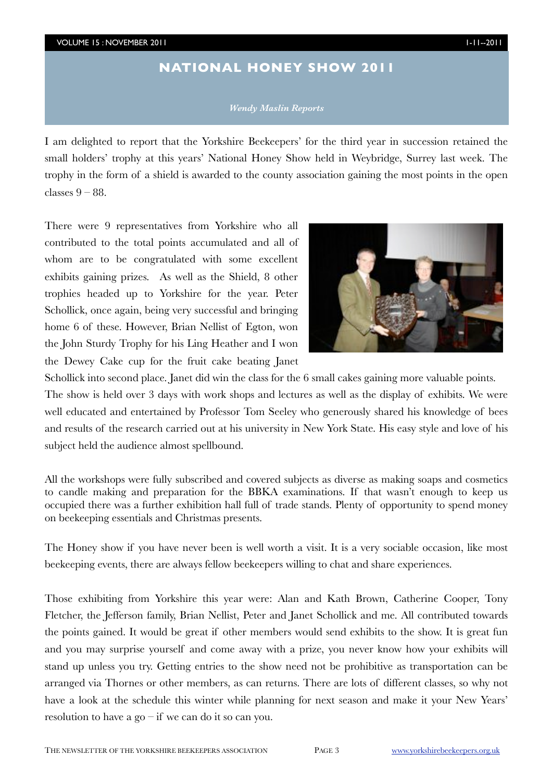#### VOLUME 15 : NOVEMBER 2011 1-11--2011

## **NATIONAL HONEY SHOW 2011**

#### *Wendy Maslin Reports*

I am delighted to report that the Yorkshire Beekeepers' for the third year in succession retained the small holders' trophy at this years' National Honey Show held in Weybridge, Surrey last week. The trophy in the form of a shield is awarded to the county association gaining the most points in the open classes  $9 - 88$ .

There were 9 representatives from Yorkshire who all contributed to the total points accumulated and all of whom are to be congratulated with some excellent exhibits gaining prizes. As well as the Shield, 8 other trophies headed up to Yorkshire for the year. Peter Schollick, once again, being very successful and bringing home 6 of these. However, Brian Nellist of Egton, won the John Sturdy Trophy for his Ling Heather and I won the Dewey Cake cup for the fruit cake beating Janet



Schollick into second place. Janet did win the class for the 6 small cakes gaining more valuable points. The show is held over 3 days with work shops and lectures as well as the display of exhibits. We were well educated and entertained by Professor Tom Seeley who generously shared his knowledge of bees and results of the research carried out at his university in New York State. His easy style and love of his subject held the audience almost spellbound.

All the workshops were fully subscribed and covered subjects as diverse as making soaps and cosmetics to candle making and preparation for the BBKA examinations. If that wasn't enough to keep us occupied there was a further exhibition hall full of trade stands. Plenty of opportunity to spend money on beekeeping essentials and Christmas presents.

The Honey show if you have never been is well worth a visit. It is a very sociable occasion, like most beekeeping events, there are always fellow beekeepers willing to chat and share experiences.

Those exhibiting from Yorkshire this year were: Alan and Kath Brown, Catherine Cooper, Tony Fletcher, the Jefferson family, Brian Nellist, Peter and Janet Schollick and me. All contributed towards the points gained. It would be great if other members would send exhibits to the show. It is great fun and you may surprise yourself and come away with a prize, you never know how your exhibits will stand up unless you try. Getting entries to the show need not be prohibitive as transportation can be arranged via Thornes or other members, as can returns. There are lots of different classes, so why not have a look at the schedule this winter while planning for next season and make it your New Years' resolution to have a go – if we can do it so can you.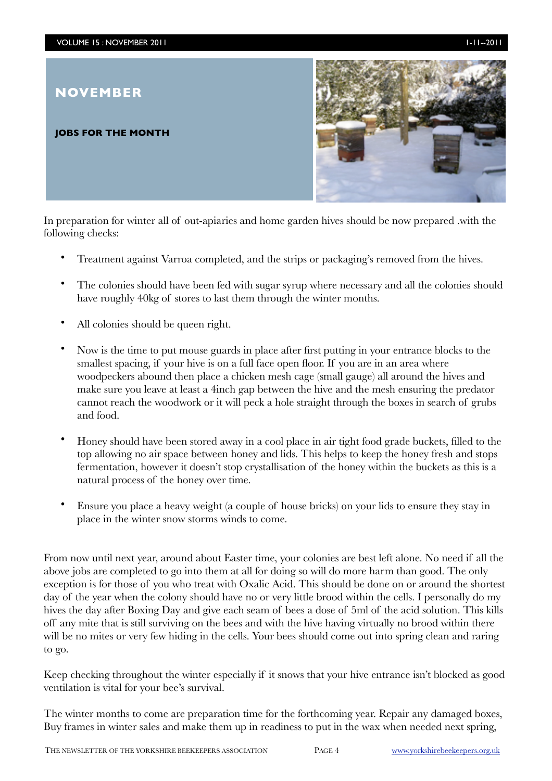## **NOVEMBER**

#### **JOBS FOR THE MONTH**



In preparation for winter all of out-apiaries and home garden hives should be now prepared .with the following checks:

- Treatment against Varroa completed, and the strips or packaging's removed from the hives.
- The colonies should have been fed with sugar syrup where necessary and all the colonies should have roughly 40kg of stores to last them through the winter months.
- All colonies should be queen right.
- Now is the time to put mouse guards in place after first putting in your entrance blocks to the smallest spacing, if your hive is on a full face open floor. If you are in an area where woodpeckers abound then place a chicken mesh cage (small gauge) all around the hives and make sure you leave at least a 4inch gap between the hive and the mesh ensuring the predator cannot reach the woodwork or it will peck a hole straight through the boxes in search of grubs and food.
- Honey should have been stored away in a cool place in air tight food grade buckets, filled to the top allowing no air space between honey and lids. This helps to keep the honey fresh and stops fermentation, however it doesn't stop crystallisation of the honey within the buckets as this is a natural process of the honey over time.
- Ensure you place a heavy weight (a couple of house bricks) on your lids to ensure they stay in place in the winter snow storms winds to come.

From now until next year, around about Easter time, your colonies are best left alone. No need if all the above jobs are completed to go into them at all for doing so will do more harm than good. The only exception is for those of you who treat with Oxalic Acid. This should be done on or around the shortest day of the year when the colony should have no or very little brood within the cells. I personally do my hives the day after Boxing Day and give each seam of bees a dose of 5ml of the acid solution. This kills off any mite that is still surviving on the bees and with the hive having virtually no brood within there will be no mites or very few hiding in the cells. Your bees should come out into spring clean and raring to go.

Keep checking throughout the winter especially if it snows that your hive entrance isn't blocked as good ventilation is vital for your bee's survival.

The winter months to come are preparation time for the forthcoming year. Repair any damaged boxes, Buy frames in winter sales and make them up in readiness to put in the wax when needed next spring,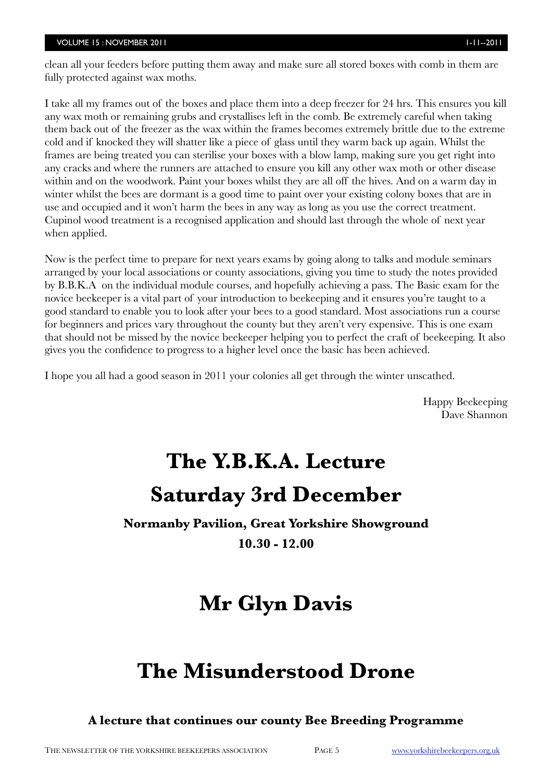clean all your feeders before putting them away and make sure all stored boxes with comb in them are fully protected against wax moths.

I take all my frames out of the boxes and place them into a deep freezer for 24 hrs. This ensures you kill any wax moth or remaining grubs and crystallises left in the comb. Be extremely careful when taking them back out of the freezer as the wax within the frames becomes extremely brittle due to the extreme cold and if knocked they will shatter like a piece of glass until they warm back up again. Whilst the frames are being treated you can sterilise your boxes with a blow lamp, making sure you get right into any cracks and where the runners are attached to ensure you kill any other wax moth or other disease within and on the woodwork. Paint your boxes whilst they are all off the hives. And on a warm day in winter whilst the bees are dormant is a good time to paint over your existing colony boxes that are in use and occupied and it won't harm the bees in any way as long as you use the correct treatment. Cupinol wood treatment is a recognised application and should last through the whole of next year when applied.

Now is the perfect time to prepare for next years exams by going along to talks and module seminars arranged by your local associations or county associations, giving you time to study the notes provided by B.B.K.A on the individual module courses, and hopefully achieving a pass. The Basic exam for the novice beekeeper is a vital part of your introduction to beekeeping and it ensures you're taught to a good standard to enable you to look after your bees to a good standard. Most associations run a course for beginners and prices vary throughout the county but they aren't very expensive. This is one exam that should not be missed by the novice beekeeper helping you to perfect the craft of beekeeping. It also gives you the confidence to progress to a higher level once the basic has been achieved.

I hope you all had a good season in 2011 your colonies all get through the winter unscathed.

Happy Beekeeping Dave Shannon

# **The Y.B.K.A. Lecture Saturday 3rd December**

**Normanby Pavilion, Great Yorkshire Showground**

**10.30 - 12.00**

# **Mr Glyn Davis**

# **The Misunderstood Drone**

**A lecture that continues our county Bee Breeding Programme**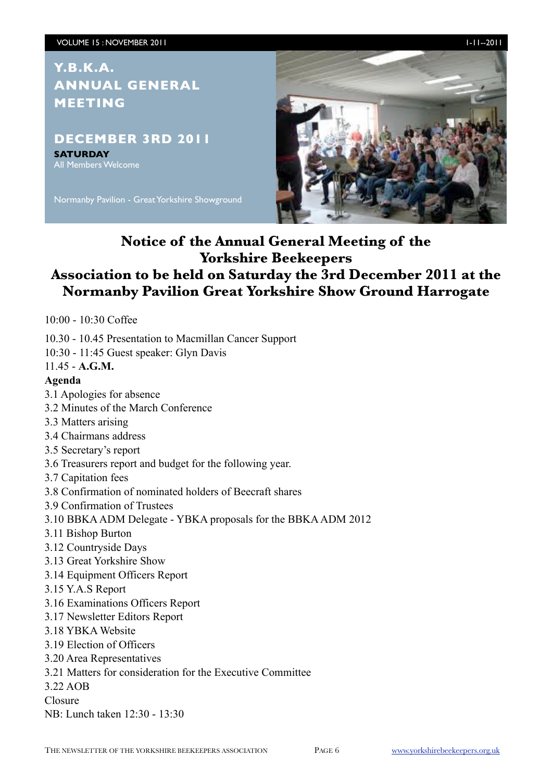# **Y.B.K.A. ANNUAL GENERAL MEETING**

### **DECEMBER 3RD 2011**

**SATURDAY** All Members Welcome

Normanby Pavilion - Great Yorkshire Showground



**Notice of the Annual General Meeting of the Yorkshire Beekeepers**

# **Association to be held on Saturday the 3rd December 2011 at the Normanby Pavilion Great Yorkshire Show Ground Harrogate**

10:00 - 10:30 Coffee

10.30 - 10.45 Presentation to Macmillan Cancer Support

10:30 - 11:45 Guest speaker: Glyn Davis

#### 11.45 - **A.G.M.**

#### **Agenda**

- 3.1 Apologies for absence
- 3.2 Minutes of the March Conference
- 3.3 Matters arising
- 3.4 Chairmans address
- 3.5 Secretary's report
- 3.6 Treasurers report and budget for the following year.
- 3.7 Capitation fees
- 3.8 Confirmation of nominated holders of Beecraft shares
- 3.9 Confirmation of Trustees
- 3.10 BBKA ADM Delegate YBKA proposals for the BBKA ADM 2012
- 3.11 Bishop Burton
- 3.12 Countryside Days
- 3.13 Great Yorkshire Show
- 3.14 Equipment Officers Report
- 3.15 Y.A.S Report
- 3.16 Examinations Officers Report
- 3.17 Newsletter Editors Report
- 3.18 YBKA Website
- 3.19 Election of Officers
- 3.20 Area Representatives
- 3.21 Matters for consideration for the Executive Committee
- 3.22 AOB
- Closure
- NB: Lunch taken 12:30 13:30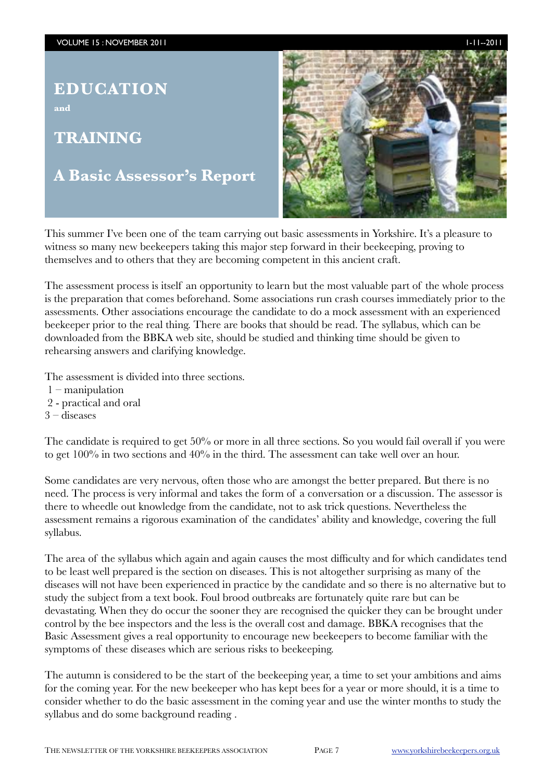# **EDUCATION**

**and**

# **TRAINING**

# **A Basic Assessor's Report**



This summer I've been one of the team carrying out basic assessments in Yorkshire. It's a pleasure to witness so many new beekeepers taking this major step forward in their beekeeping, proving to themselves and to others that they are becoming competent in this ancient craft.

The assessment process is itself an opportunity to learn but the most valuable part of the whole process is the preparation that comes beforehand. Some associations run crash courses immediately prior to the assessments. Other associations encourage the candidate to do a mock assessment with an experienced beekeeper prior to the real thing. There are books that should be read. The syllabus, which can be downloaded from the BBKA web site, should be studied and thinking time should be given to rehearsing answers and clarifying knowledge.

The assessment is divided into three sections.

- 1 manipulation
- 2 practical and oral
- 3 diseases

The candidate is required to get 50% or more in all three sections. So you would fail overall if you were to get 100% in two sections and 40% in the third. The assessment can take well over an hour.

Some candidates are very nervous, often those who are amongst the better prepared. But there is no need. The process is very informal and takes the form of a conversation or a discussion. The assessor is there to wheedle out knowledge from the candidate, not to ask trick questions. Nevertheless the assessment remains a rigorous examination of the candidates' ability and knowledge, covering the full syllabus.

The area of the syllabus which again and again causes the most difficulty and for which candidates tend to be least well prepared is the section on diseases. This is not altogether surprising as many of the diseases will not have been experienced in practice by the candidate and so there is no alternative but to study the subject from a text book. Foul brood outbreaks are fortunately quite rare but can be devastating. When they do occur the sooner they are recognised the quicker they can be brought under control by the bee inspectors and the less is the overall cost and damage. BBKA recognises that the Basic Assessment gives a real opportunity to encourage new beekeepers to become familiar with the symptoms of these diseases which are serious risks to beekeeping.

The autumn is considered to be the start of the beekeeping year, a time to set your ambitions and aims for the coming year. For the new beekeeper who has kept bees for a year or more should, it is a time to consider whether to do the basic assessment in the coming year and use the winter months to study the syllabus and do some background reading .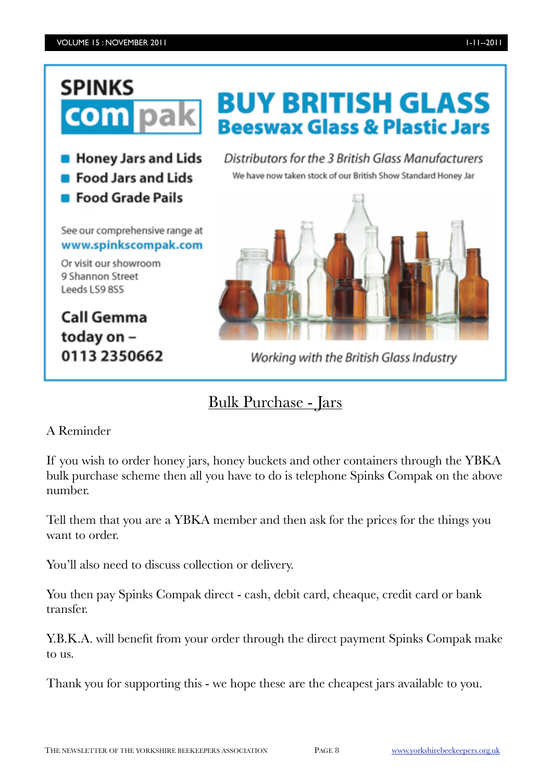# **SPINKS** com

**B** Honey Jars and Lids

- **Food Jars and Lids**
- **Food Grade Pails**

See our comprehensive range at www.spinkscompak.com

Or visit our showroom 9 Shannon Street Leeds LS9 8SS

**Call Gemma** today on -0113 2350662 **BUY BRITISH GLASS Beeswax Glass & Plastic Jars** 

Distributors for the 3 British Glass Manufacturers We have now taken stock of our British Show Standard Honey Jar



Working with the British Glass Industry

# Bulk Purchase - Jars

### A Reminder

If you wish to order honey jars, honey buckets and other containers through the YBKA bulk purchase scheme then all you have to do is telephone Spinks Compak on the above number.

Tell them that you are a YBKA member and then ask for the prices for the things you want to order.

You'll also need to discuss collection or delivery.

You then pay Spinks Compak direct - cash, debit card, cheaque, credit card or bank transfer.

Y.B.K.A. will benefit from your order through the direct payment Spinks Compak make to us.

Thank you for supporting this - we hope these are the cheapest jars available to you.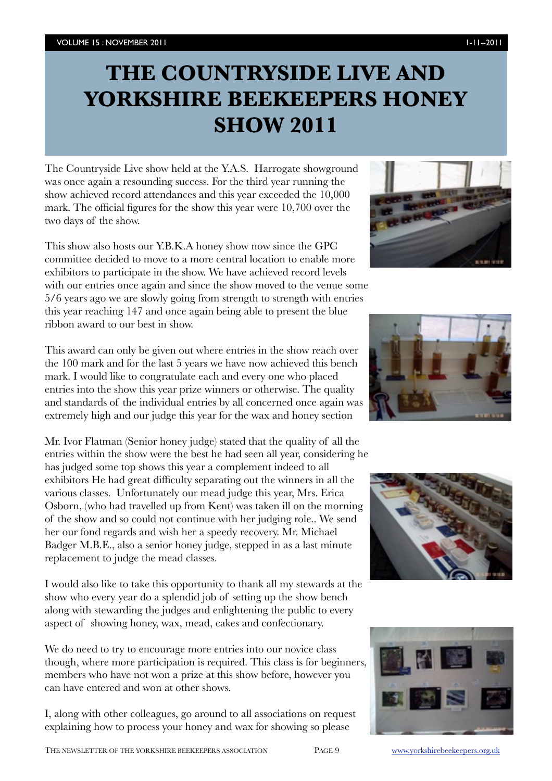# **THE COUNTRYSIDE LIVE AND YORKSHIRE BEEKEEPERS HONEY SHOW 2011**

The Countryside Live show held at the Y.A.S. Harrogate showground was once again a resounding success. For the third year running the show achieved record attendances and this year exceeded the 10,000 mark. The official figures for the show this year were 10,700 over the two days of the show.

This show also hosts our Y.B.K.A honey show now since the GPC committee decided to move to a more central location to enable more exhibitors to participate in the show. We have achieved record levels with our entries once again and since the show moved to the venue some 5/6 years ago we are slowly going from strength to strength with entries this year reaching 147 and once again being able to present the blue ribbon award to our best in show.

This award can only be given out where entries in the show reach over the 100 mark and for the last 5 years we have now achieved this bench mark. I would like to congratulate each and every one who placed entries into the show this year prize winners or otherwise. The quality and standards of the individual entries by all concerned once again was extremely high and our judge this year for the wax and honey section

Mr. Ivor Flatman (Senior honey judge) stated that the quality of all the entries within the show were the best he had seen all year, considering he has judged some top shows this year a complement indeed to all exhibitors He had great difficulty separating out the winners in all the various classes. Unfortunately our mead judge this year, Mrs. Erica Osborn, (who had travelled up from Kent) was taken ill on the morning of the show and so could not continue with her judging role.. We send her our fond regards and wish her a speedy recovery. Mr. Michael Badger M.B.E., also a senior honey judge, stepped in as a last minute replacement to judge the mead classes.

I would also like to take this opportunity to thank all my stewards at the show who every year do a splendid job of setting up the show bench along with stewarding the judges and enlightening the public to every aspect of showing honey, wax, mead, cakes and confectionary.

We do need to try to encourage more entries into our novice class though, where more participation is required. This class is for beginners, members who have not won a prize at this show before, however you can have entered and won at other shows.

I, along with other colleagues, go around to all associations on request explaining how to process your honey and wax for showing so please







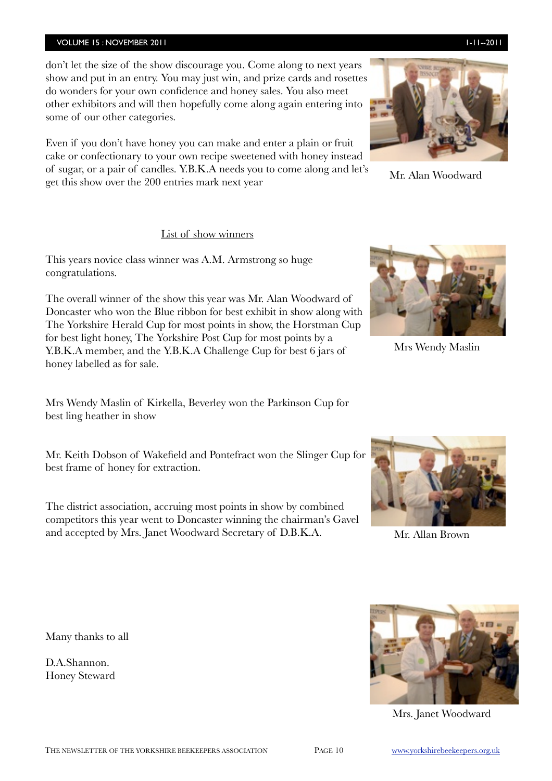#### VOLUME 15 : NOVEMBER 2011 **1-11-2011** 1-11--2011

don't let the size of the show discourage you. Come along to next years show and put in an entry. You may just win, and prize cards and rosettes do wonders for your own confidence and honey sales. You also meet other exhibitors and will then hopefully come along again entering into some of our other categories.

Even if you don't have honey you can make and enter a plain or fruit cake or confectionary to your own recipe sweetened with honey instead of sugar, or a pair of candles. Y.B.K.A needs you to come along and let's get this show over the 200 entries mark next year

#### List of show winners

This years novice class winner was A.M. Armstrong so huge congratulations.

The overall winner of the show this year was Mr. Alan Woodward of Doncaster who won the Blue ribbon for best exhibit in show along with The Yorkshire Herald Cup for most points in show, the Horstman Cup for best light honey, The Yorkshire Post Cup for most points by a Y.B.K.A member, and the Y.B.K.A Challenge Cup for best 6 jars of honey labelled as for sale.

Mrs Wendy Maslin of Kirkella, Beverley won the Parkinson Cup for best ling heather in show

Mr. Keith Dobson of Wakefield and Pontefract won the Slinger Cup for best frame of honey for extraction.

The district association, accruing most points in show by combined competitors this year went to Doncaster winning the chairman's Gavel and accepted by Mrs. Janet Woodward Secretary of D.B.K.A.

Many thanks to all

D.A.Shannon. Honey Steward

Mrs. Janet Woodward



Mr. Allan Brown







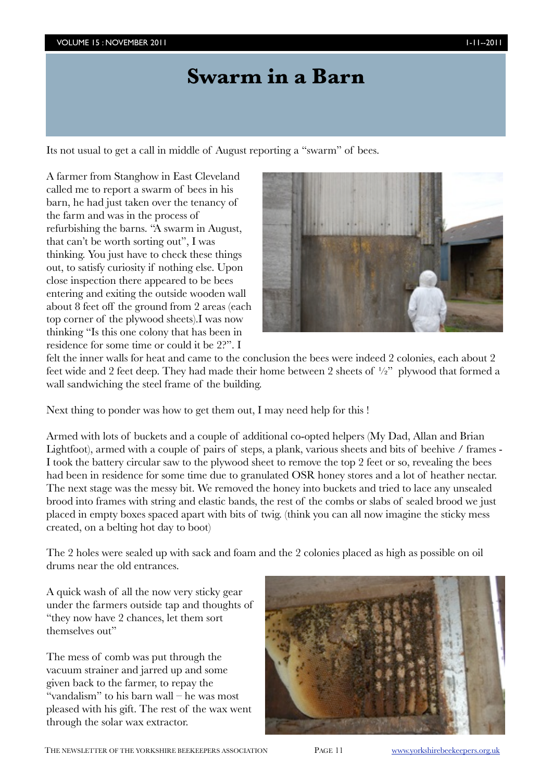# **Swarm in a Barn**

Its not usual to get a call in middle of August reporting a "swarm" of bees.

A farmer from Stanghow in East Cleveland called me to report a swarm of bees in his barn, he had just taken over the tenancy of the farm and was in the process of refurbishing the barns. "A swarm in August, that can't be worth sorting out", I was thinking. You just have to check these things out, to satisfy curiosity if nothing else. Upon close inspection there appeared to be bees entering and exiting the outside wooden wall about 8 feet off the ground from 2 areas (each top corner of the plywood sheets).I was now thinking "Is this one colony that has been in residence for some time or could it be 2?". I



felt the inner walls for heat and came to the conclusion the bees were indeed 2 colonies, each about 2 feet wide and 2 feet deep. They had made their home between 2 sheets of  $\frac{1}{2}$ " plywood that formed a wall sandwiching the steel frame of the building.

Next thing to ponder was how to get them out, I may need help for this !

Armed with lots of buckets and a couple of additional co-opted helpers (My Dad, Allan and Brian Lightfoot), armed with a couple of pairs of steps, a plank, various sheets and bits of beehive / frames - I took the battery circular saw to the plywood sheet to remove the top 2 feet or so, revealing the bees had been in residence for some time due to granulated OSR honey stores and a lot of heather nectar. The next stage was the messy bit. We removed the honey into buckets and tried to lace any unsealed brood into frames with string and elastic bands, the rest of the combs or slabs of sealed brood we just placed in empty boxes spaced apart with bits of twig. (think you can all now imagine the sticky mess created, on a belting hot day to boot)

The 2 holes were sealed up with sack and foam and the 2 colonies placed as high as possible on oil drums near the old entrances.

A quick wash of all the now very sticky gear under the farmers outside tap and thoughts of "they now have 2 chances, let them sort themselves out"

The mess of comb was put through the vacuum strainer and jarred up and some given back to the farmer, to repay the "vandalism" to his barn wall – he was most pleased with his gift. The rest of the wax went through the solar wax extractor.

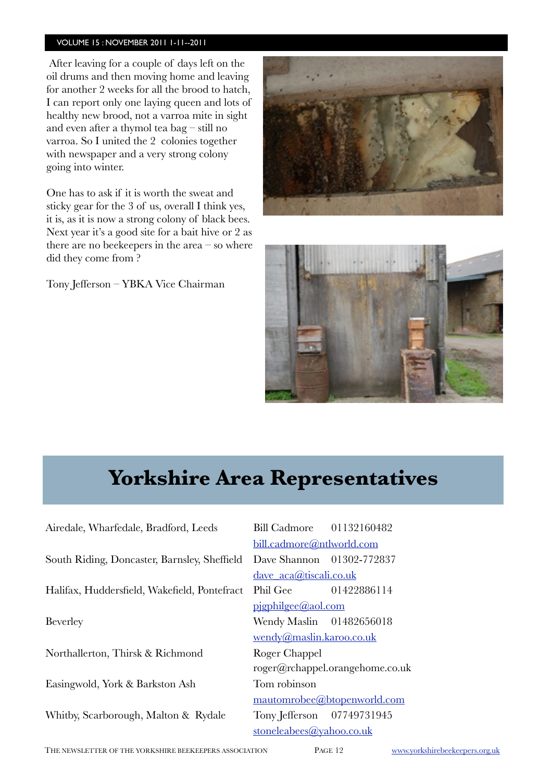#### VOLUME 15 : NOVEMBER 2011 1-11--2011

After leaving for a couple of days left on the oil drums and then moving home and leaving for another 2 weeks for all the brood to hatch, I can report only one laying queen and lots of healthy new brood, not a varroa mite in sight and even after a thymol tea bag – still no varroa. So I united the 2 colonies together with newspaper and a very strong colony going into winter.

One has to ask if it is worth the sweat and sticky gear for the 3 of us, overall I think yes, it is, as it is now a strong colony of black bees. Next year it's a good site for a bait hive or 2 as there are no beekeepers in the area – so where did they come from ?

Tony Jefferson – YBKA Vice Chairman





# **Yorkshire Area Representatives Yorkshire Area Representatives**

Airedale, Wharfedale, Bradford, Leeds Bill Cadmore 01132160482 South Riding, Doncaster, Barnsley, Sheffield Dave Shannon 01302-772837 Halifax, Huddersfield, Wakefield, Pontefract Phil Gee 01422886114 Beverley **Wendy Maslin** 01482656018 Northallerton, Thirsk & Richmond Roger Chappel Easingwold, York & Barkston Ash Tom robinson Whitby, Scarborough, Malton & Rydale Tony Jefferson 07749731945

 [bill.cadmore@ntlworld.com](mailto:bill.cadmore@ntlworld.com) [dave\\_aca@tiscali.co.uk](mailto:dave_aca@tiscali.co.uk) [pjgphilgee@aol.com](mailto:pjgphilgee@aol.com) [wendy@maslin.karoo.co.uk](mailto:wendy@maslin.karoo.co.uk) [roger@rchappel.orangehome.co.uk](mailto:roger@rchappel.orangehome.co.uk) [mautomrobee@btopenworld.com](mailto:mautomrobee@btopenworld.com) [stoneleabees@yahoo.co.uk](mailto:stoneleabees@yahoo.co.uk)